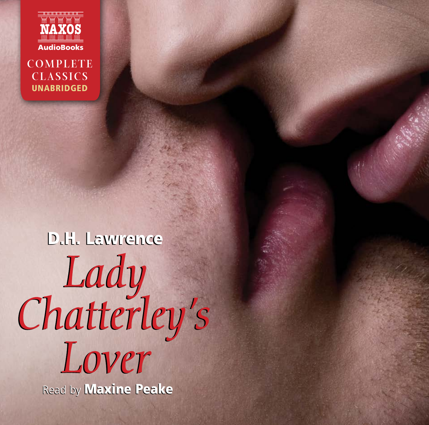

**COMPLETE CLASSICS** UNABRIDGED

# D.H. Lawrence *Lady Chatterley's Lover Lady Chatterley's Lover* Read by Read by Maxine Peake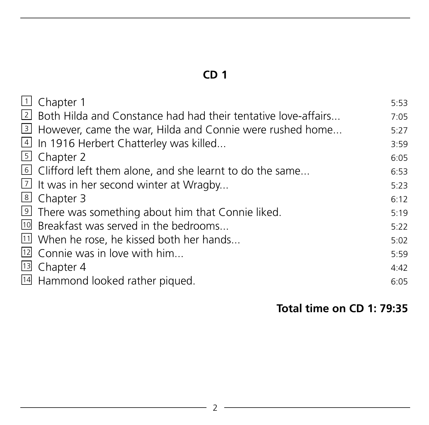| 1 Chapter 1                                                     | 5:53 |
|-----------------------------------------------------------------|------|
| 2 Both Hilda and Constance had had their tentative love-affairs | 7:05 |
| 3 However, came the war, Hilda and Connie were rushed home      | 5:27 |
| 4 In 1916 Herbert Chatterley was killed                         | 3:59 |
| 5 Chapter 2                                                     | 6:05 |
| Clifford left them alone, and she learnt to do the same         | 6:53 |
| $\boxed{7}$ It was in her second winter at Wragby               | 5:23 |
| 8 Chapter 3                                                     | 6:12 |
| 9 There was something about him that Connie liked.              | 5:19 |
| <sup>10</sup> Breakfast was served in the bedrooms              | 5:22 |
| $11$ When he rose, he kissed both her hands                     | 5:02 |
| $12$ Connie was in love with him                                | 5:59 |
| <sup>13</sup> Chapter 4                                         | 4:42 |
| 14 Hammond looked rather piqued.                                | 6:05 |
|                                                                 |      |

#### **Total time on CD 1: 79:35**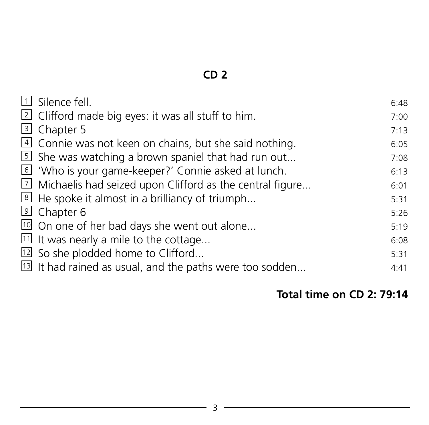| $\Box$ Silence fell.                                                 | 6:48 |
|----------------------------------------------------------------------|------|
| $\boxed{2}$ Clifford made big eyes: it was all stuff to him.         | 7:00 |
| 3 Chapter 5                                                          | 7:13 |
| $\vert$ Connie was not keen on chains, but she said nothing.         | 6:05 |
| $\boxed{5}$ She was watching a brown spaniel that had run out        | 7:08 |
| 6 'Who is your game-keeper?' Connie asked at lunch.                  | 6:13 |
| $\boxed{2}$ Michaelis had seized upon Clifford as the central figure | 6:01 |
| $8$ He spoke it almost in a brilliancy of triumph                    | 5:31 |
| <sup>9</sup> Chapter 6                                               | 5:26 |
| <sup>10</sup> On one of her bad days she went out alone              | 5:19 |
| $11$ It was nearly a mile to the cottage                             | 6:08 |
| $12$ So she plodded home to Clifford                                 | 5:31 |
| $\boxed{13}$ It had rained as usual, and the paths were too sodden   | 4:41 |
|                                                                      |      |

#### **Total time on CD 2: 79:14**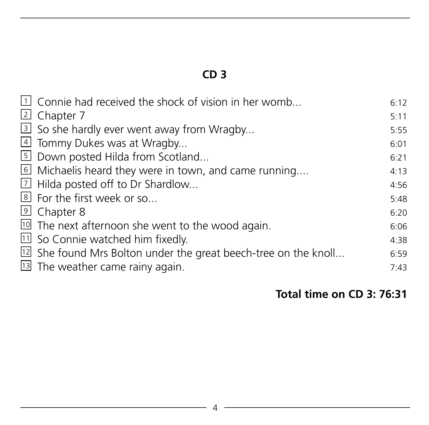| $1$ Connie had received the shock of vision in her womb            | 6:12 |
|--------------------------------------------------------------------|------|
| 2 Chapter 7                                                        | 5:11 |
| 3 So she hardly ever went away from Wragby                         | 5:55 |
| 4 Tommy Dukes was at Wragby                                        | 6:01 |
| 5 Down posted Hilda from Scotland                                  | 6:21 |
| $\overline{6}$ Michaelis heard they were in town, and came running | 4:13 |
| 7 Hilda posted off to Dr Shardlow                                  | 4:56 |
| <sup>8</sup> For the first week or so                              | 5:48 |
| <sup>9</sup> Chapter 8                                             | 6:20 |
| <sup>10</sup> The next afternoon she went to the wood again.       | 6:06 |
| $11$ So Connie watched him fixedly.                                | 4:38 |
| $12$ She found Mrs Bolton under the great beech-tree on the knoll  | 6:59 |
| <sup>13</sup> The weather came rainy again.                        | 7:43 |

#### **Total time on CD 3: 76:31**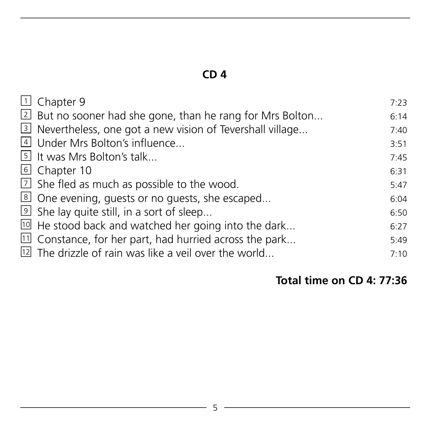| $\overline{1}$ Chapter 9                                             | 7:23 |
|----------------------------------------------------------------------|------|
| 2 But no sooner had she gone, than he rang for Mrs Bolton            | 6:14 |
| 3 Nevertheless, one got a new vision of Tevershall village           | 7:40 |
| 4 Under Mrs Bolton's influence                                       | 3:51 |
| 5 It was Mrs Bolton's talk                                           | 7:45 |
| 6 Chapter 10                                                         | 6:31 |
| $1$ She fled as much as possible to the wood.                        | 5:47 |
| 8 One evening, quests or no guests, she escaped                      | 6:04 |
| $\overline{9}$ She lay quite still, in a sort of sleep               | 6:50 |
| $10$ He stood back and watched her going into the dark               | 6:27 |
| $\overline{11}$ Constance, for her part, had hurried across the park | 5:49 |
| <sup>12</sup> The drizzle of rain was like a veil over the world     | 7:10 |
|                                                                      |      |

#### **Total time on CD 4: 77:36**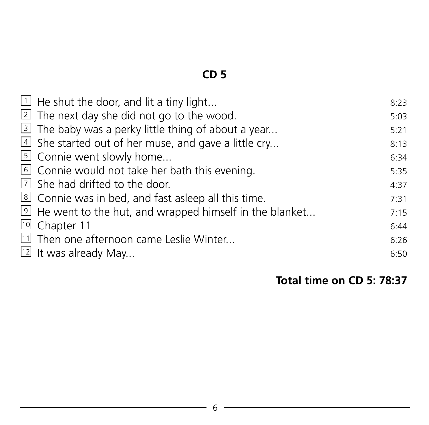| $\overline{1}$ He shut the door, and lit a tiny light                 | 8:23 |
|-----------------------------------------------------------------------|------|
| $\overline{2}$ The next day she did not go to the wood.               | 5:03 |
| 3 The baby was a perky little thing of about a year                   | 5:21 |
| $4$ She started out of her muse, and gave a little cry                | 8:13 |
| 5 Connie went slowly home                                             | 6:34 |
| 6 Connie would not take her bath this evening.                        | 5:35 |
| $\overline{1}$ She had drifted to the door.                           | 4:37 |
| 8 Connie was in bed, and fast asleep all this time.                   | 7:31 |
| $\overline{9}$ He went to the hut, and wrapped himself in the blanket | 7:15 |
| 10 Chapter 11                                                         | 6:44 |
| $11$ Then one afternoon came Leslie Winter                            | 6:26 |
| $12$ It was already May                                               | 6:50 |

#### **Total time on CD 5: 78:37**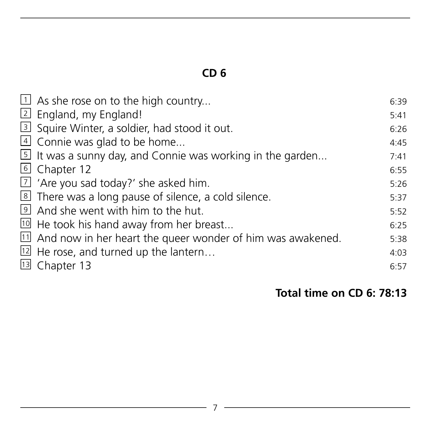| $\exists$ As she rose on to the high country                            | 6:39 |
|-------------------------------------------------------------------------|------|
| 2 England, my England!                                                  | 5:41 |
| 3 Squire Winter, a soldier, had stood it out.                           | 6:26 |
| 4 Connie was glad to be home                                            | 4:45 |
| $\overline{5}$ It was a sunny day, and Connie was working in the garden | 7:41 |
| 6 Chapter 12                                                            | 6:55 |
| $\overline{2}$ 'Are you sad today?' she asked him.                      | 5:26 |
| 8 There was a long pause of silence, a cold silence.                    | 5:37 |
| I And she went with him to the hut.                                     | 5:52 |
| $10$ He took his hand away from her breast                              | 6:25 |
| $11$ And now in her heart the queer wonder of him was awakened.         | 5:38 |
| $12$ He rose, and turned up the lantern                                 | 4:03 |
| 13 Chapter 13                                                           | 6:57 |
|                                                                         |      |

#### **Total time on CD 6: 78:13**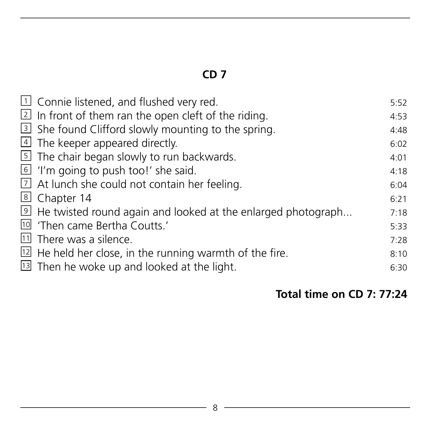| $\perp$ Connie listened, and flushed very red.                              | 5:52 |
|-----------------------------------------------------------------------------|------|
| $\overline{2}$ In front of them ran the open cleft of the riding.           | 4:53 |
| 3 She found Clifford slowly mounting to the spring.                         | 4:48 |
| $\triangleq$ The keeper appeared directly.                                  | 6:02 |
| 5 The chair began slowly to run backwards.                                  | 4:01 |
| $\overline{6}$ 'I'm going to push too!' she said.                           | 4:18 |
| $\overline{1}$ At lunch she could not contain her feeling.                  | 6:04 |
| 8 Chapter 14                                                                | 6:21 |
| $\overline{9}$ He twisted round again and looked at the enlarged photograph | 7:18 |
| <sup>10</sup> 'Then came Bertha Coutts.'                                    | 5:33 |
| 11 There was a silence.                                                     | 7:28 |
| $\overline{12}$ He held her close, in the running warmth of the fire.       | 8:10 |
| <sup>13</sup> Then he woke up and looked at the light.                      | 6:30 |
|                                                                             |      |

#### **Total time on CD 7: 77:24**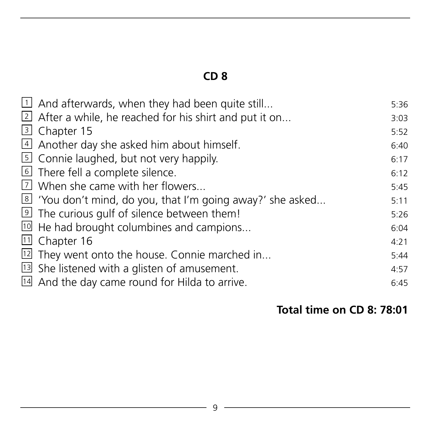| $\overline{1}$ And afterwards, when they had been quite still    | 5:36 |
|------------------------------------------------------------------|------|
| $\sqrt{2}$ After a while, he reached for his shirt and put it on | 3:03 |
| 3 Chapter 15                                                     | 5:52 |
| 4 Another day she asked him about himself.                       | 6:40 |
| $\overline{5}$ Connie laughed, but not very happily.             | 6:17 |
| 6 There fell a complete silence.                                 | 6:12 |
| 7 When she came with her flowers                                 | 5:45 |
| 8 'You don't mind, do you, that I'm going away?' she asked       | 5:11 |
| <sup>9</sup> The curious gulf of silence between them!           | 5:26 |
| $10$ He had brought columbines and campions                      | 6:04 |
| $11$ Chapter 16                                                  | 4:21 |
| $\overline{12}$ They went onto the house. Connie marched in      | 5:44 |
| $\overline{13}$ She listened with a glisten of amusement.        | 4:57 |
| 14 And the day came round for Hilda to arrive.                   | 6:45 |
|                                                                  |      |

#### **Total time on CD 8: 78:01**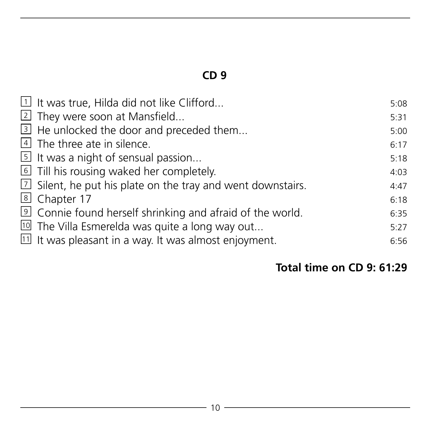| $\exists$ It was true, Hilda did not like Clifford                 | 5:08 |
|--------------------------------------------------------------------|------|
| 2 They were soon at Mansfield                                      | 5:31 |
| 3 He unlocked the door and preceded them                           | 5:00 |
| 4 The three ate in silence.                                        | 6:17 |
| $\overline{5}$ It was a night of sensual passion                   | 5:18 |
| Till his rousing waked her completely.                             | 4:03 |
| $1/2$ Silent, he put his plate on the tray and went downstairs.    | 4:47 |
| 8 Chapter 17                                                       | 6:18 |
| 9 Connie found herself shrinking and afraid of the world.          | 6:35 |
| $10$ The Villa Esmerelda was quite a long way out                  | 5:27 |
| $\overline{11}$ It was pleasant in a way. It was almost enjoyment. | 6:56 |

#### **Total time on CD 9: 61:29**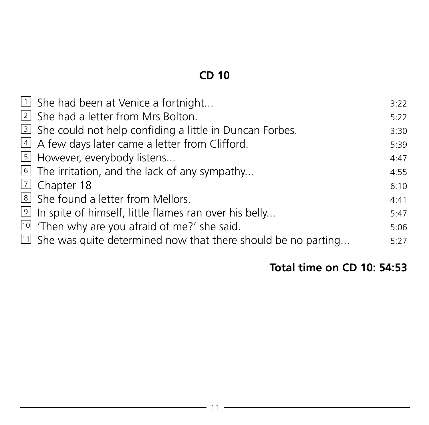| $\overline{1}$ She had been at Venice a fortnight                 | 3:22 |
|-------------------------------------------------------------------|------|
| 2 She had a letter from Mrs Bolton.                               | 5:22 |
| 3 She could not help confiding a little in Duncan Forbes.         | 3:30 |
| 4 A few days later came a letter from Clifford.                   | 5:39 |
| 5 However, everybody listens                                      | 4:47 |
| $\overline{6}$ The irritation, and the lack of any sympathy       | 4:55 |
| 기 Chapter 18                                                      | 6:10 |
| 8 She found a letter from Mellors.                                | 4:41 |
| 9 In spite of himself, little flames ran over his belly           | 5:47 |
| $10$ 'Then why are you afraid of me?' she said.                   | 5:06 |
| $11$ She was quite determined now that there should be no parting | 5:27 |

#### **Total time on CD 10: 54:53**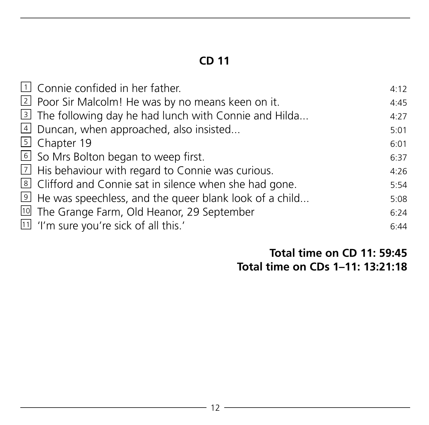| $\Box$ Connie confided in her father.                        | 4:12 |
|--------------------------------------------------------------|------|
| 2 Poor Sir Malcolm! He was by no means keen on it.           | 4:45 |
| 3 The following day he had lunch with Connie and Hilda       | 4:27 |
| $\boxed{4}$ Duncan, when approached, also insisted           | 5:01 |
| 5 Chapter 19                                                 | 6:01 |
| 6 So Mrs Bolton began to weep first.                         | 6:37 |
| $\boxed{2}$ His behaviour with regard to Connie was curious. | 4:26 |
| 8 Clifford and Connie sat in silence when she had gone.      | 5:54 |
| 9 He was speechless, and the queer blank look of a child     | 5:08 |
| <sup>101</sup> The Grange Farm, Old Heanor, 29 September     | 6:24 |
| $\boxed{11}$ 'I'm sure you're sick of all this.'             | 6:44 |

#### **Total time on CD 11: 59:45 Total time on CDs 1–11: 13:21:18**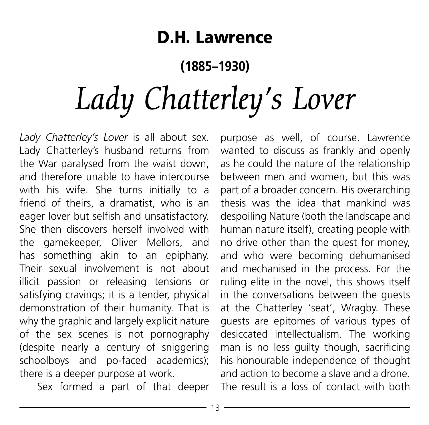# D.H. Lawrence

## **(1885–1930)**

# *Lady Chatterley's Lover*

*Lady Chatterley's Lover* is all about sex. Lady Chatterley's husband returns from the War paralysed from the waist down, and therefore unable to have intercourse with his wife. She turns initially to a friend of theirs, a dramatist, who is an eager lover but selfish and unsatisfactory. She then discovers herself involved with the gamekeeper, Oliver Mellors, and has something akin to an epiphany. Their sexual involvement is not about illicit passion or releasing tensions or satisfying cravings; it is a tender, physical demonstration of their humanity. That is why the graphic and largely explicit nature of the sex scenes is not pornography (despite nearly a century of sniggering schoolboys and po-faced academics); there is a deeper purpose at work.

Sex formed a part of that deeper

purpose as well, of course. Lawrence wanted to discuss as frankly and openly as he could the nature of the relationship between men and women, but this was part of a broader concern. His overarching thesis was the idea that mankind was despoiling Nature (both the landscape and human nature itself), creating people with no drive other than the quest for money, and who were becoming dehumanised and mechanised in the process. For the ruling elite in the novel, this shows itself in the conversations between the guests at the Chatterley 'seat', Wragby. These guests are epitomes of various types of desiccated intellectualism. The working man is no less guilty though, sacrificing his honourable independence of thought and action to become a slave and a drone. The result is a loss of contact with both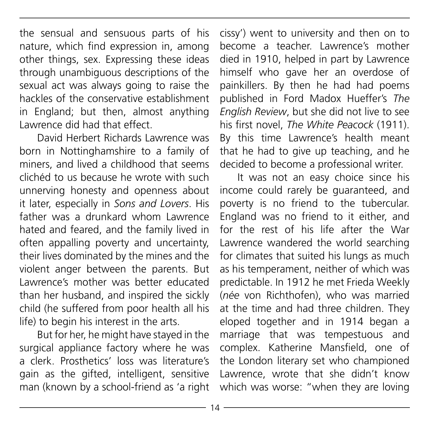the sensual and sensuous parts of his nature, which find expression in, among other things, sex. Expressing these ideas through unambiguous descriptions of the sexual act was always going to raise the hackles of the conservative establishment in England; but then, almost anything Lawrence did had that effect.

David Herbert Richards Lawrence was born in Nottinghamshire to a family of miners, and lived a childhood that seems clichéd to us because he wrote with such unnerving honesty and openness about it later, especially in *Sons and Lovers*. His father was a drunkard whom Lawrence hated and feared, and the family lived in often appalling poverty and uncertainty, their lives dominated by the mines and the violent anger between the parents. But Lawrence's mother was better educated than her husband, and inspired the sickly child (he suffered from poor health all his life) to begin his interest in the arts.

But for her, he might have stayed in the surgical appliance factory where he was a clerk. Prosthetics' loss was literature's gain as the gifted, intelligent, sensitive man (known by a school-friend as 'a right cissy') went to university and then on to become a teacher. Lawrence's mother died in 1910, helped in part by Lawrence himself who gave her an overdose of painkillers. By then he had had poems published in Ford Madox Hueffer's *The English Review*, but she did not live to see his first novel, *The White Peacock* (1911). By this time Lawrence's health meant that he had to give up teaching, and he decided to become a professional writer.

It was not an easy choice since his income could rarely be guaranteed, and poverty is no friend to the tubercular. England was no friend to it either, and for the rest of his life after the War Lawrence wandered the world searching for climates that suited his lungs as much as his temperament, neither of which was predictable. In 1912 he met Frieda Weekly (*née* von Richthofen), who was married at the time and had three children. They eloped together and in 1914 began a marriage that was tempestuous and complex. Katherine Mansfield, one of the London literary set who championed Lawrence, wrote that she didn't know which was worse: "when they are loving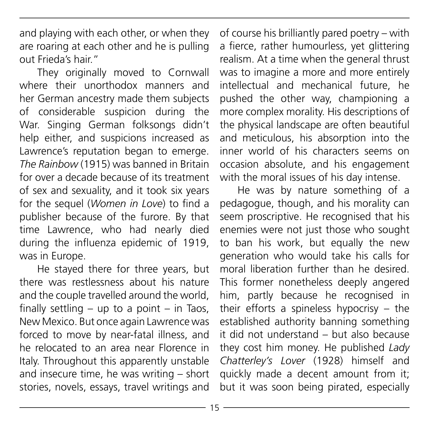and playing with each other, or when they are roaring at each other and he is pulling out Frieda's hair."

They originally moved to Cornwall where their unorthodox manners and her German ancestry made them subjects of considerable suspicion during the War. Singing German folksongs didn't help either, and suspicions increased as Lawrence's reputation began to emerge. *The Rainbow* (1915) was banned in Britain for over a decade because of its treatment of sex and sexuality, and it took six years for the sequel (*Women in Love*) to find a publisher because of the furore. By that time Lawrence, who had nearly died during the influenza epidemic of 1919, was in Europe.

He stayed there for three years, but there was restlessness about his nature and the couple travelled around the world, finally settling  $-$  up to a point  $-$  in Taos. New Mexico. But once again Lawrence was forced to move by near-fatal illness, and he relocated to an area near Florence in Italy. Throughout this apparently unstable and insecure time, he was writing – short stories, novels, essays, travel writings and

of course his brilliantly pared poetry – with a fierce, rather humourless, yet glittering realism. At a time when the general thrust was to imagine a more and more entirely intellectual and mechanical future, he pushed the other way, championing a more complex morality. His descriptions of the physical landscape are often beautiful and meticulous, his absorption into the inner world of his characters seems on occasion absolute, and his engagement with the moral issues of his day intense.

He was by nature something of a pedagogue, though, and his morality can seem proscriptive. He recognised that his enemies were not just those who sought to ban his work, but equally the new generation who would take his calls for moral liberation further than he desired. This former nonetheless deeply angered him, partly because he recognised in their efforts a spineless hypocrisy – the established authority banning something it did not understand – but also because they cost him money. He published *Lady Chatterley's Lover* (1928) himself and quickly made a decent amount from it; but it was soon being pirated, especially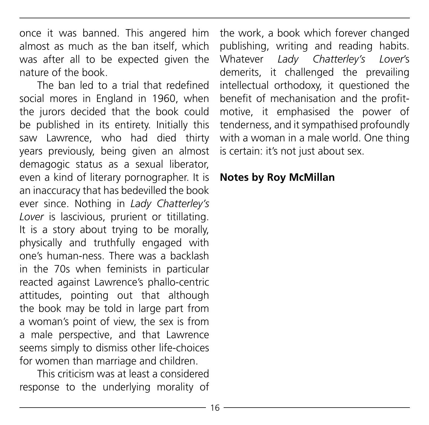once it was banned. This angered him almost as much as the ban itself, which was after all to be expected given the nature of the book.

The ban led to a trial that redefined social mores in England in 1960, when the jurors decided that the book could be published in its entirety. Initially this saw Lawrence, who had died thirty years previously, being given an almost demagogic status as a sexual liberator, even a kind of literary pornographer. It is an inaccuracy that has bedevilled the book ever since. Nothing in *Lady Chatterley's Lover* is lascivious, prurient or titillating. It is a story about trying to be morally, physically and truthfully engaged with one's human-ness. There was a backlash in the 70s when feminists in particular reacted against Lawrence's phallo-centric attitudes, pointing out that although the book may be told in large part from a woman's point of view, the sex is from a male perspective, and that Lawrence seems simply to dismiss other life-choices for women than marriage and children.

This criticism was at least a considered response to the underlying morality of the work, a book which forever changed publishing, writing and reading habits. Whatever *Lady Chatterley's Lover*'s demerits, it challenged the prevailing intellectual orthodoxy, it questioned the benefit of mechanisation and the profitmotive, it emphasised the power of tenderness, and it sympathised profoundly with a woman in a male world. One thing is certain: it's not just about sex.

#### **Notes by Roy McMillan**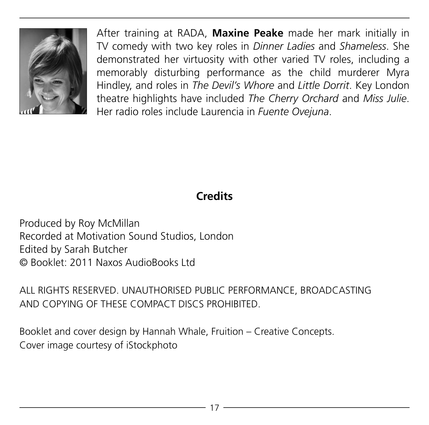

After training at RADA, **Maxine Peake** made her mark initially in TV comedy with two key roles in *Dinner Ladies* and *Shameless*. She demonstrated her virtuosity with other varied TV roles, including a memorably disturbing performance as the child murderer Myra Hindley, and roles in *The Devil's Whore* and *Little Dorrit*. Key London theatre highlights have included *The Cherry Orchard* and *Miss Julie*. Her radio roles include Laurencia in *Fuente Ovejuna*.

#### **Credits**

Produced by Roy McMillan Recorded at Motivation Sound Studios, London Edited by Sarah Butcher © Booklet: 2011 Naxos AudioBooks Ltd

ALL RIGHTS RESERVED. UNAUTHORISED PUBLIC PERFORMANCE, BROADCASTING AND COPYING OF THESE COMPACT DISCS PROHIBITED.

Booklet and cover design by Hannah Whale, Fruition – Creative Concepts. Cover image courtesy of iStockphoto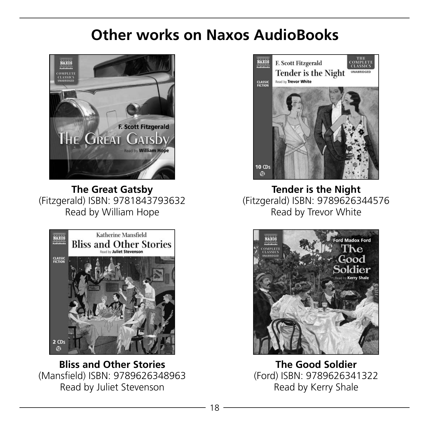# **Other works on Naxos AudioBooks**



**The Great Gatsby** (Fitzgerald) ISBN: 9781843793632 Read by William Hope



**Bliss and Other Stories** (Mansfield) ISBN: 9789626348963 Read by Juliet Stevenson



**Tender is the Night** (Fitzgerald) ISBN: 9789626344576 Read by Trevor White



**The Good Soldier** (Ford) ISBN: 9789626341322 Read by Kerry Shale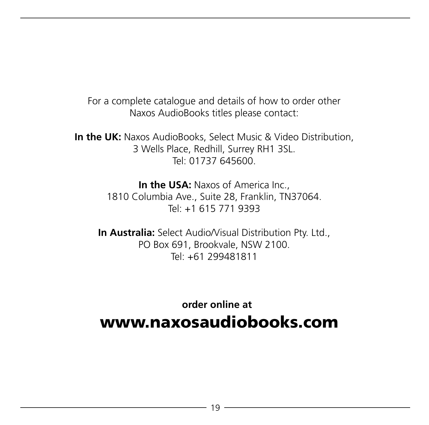For a complete catalogue and details of how to order other Naxos AudioBooks titles please contact:

**In the UK:** Naxos AudioBooks, Select Music & Video Distribution, 3 Wells Place, Redhill, Surrey RH1 3SL. Tel: 01737 645600.

> **In the USA: Naxos of America Inc.,** 1810 Columbia Ave., Suite 28, Franklin, TN37064. Tel: +1 615 771 9393

**In Australia:** Select Audio/Visual Distribution Ptv. Ltd., PO Box 691, Brookvale, NSW 2100. Tel: +61 299481811

 **order online at** www.naxosaudiobooks.com